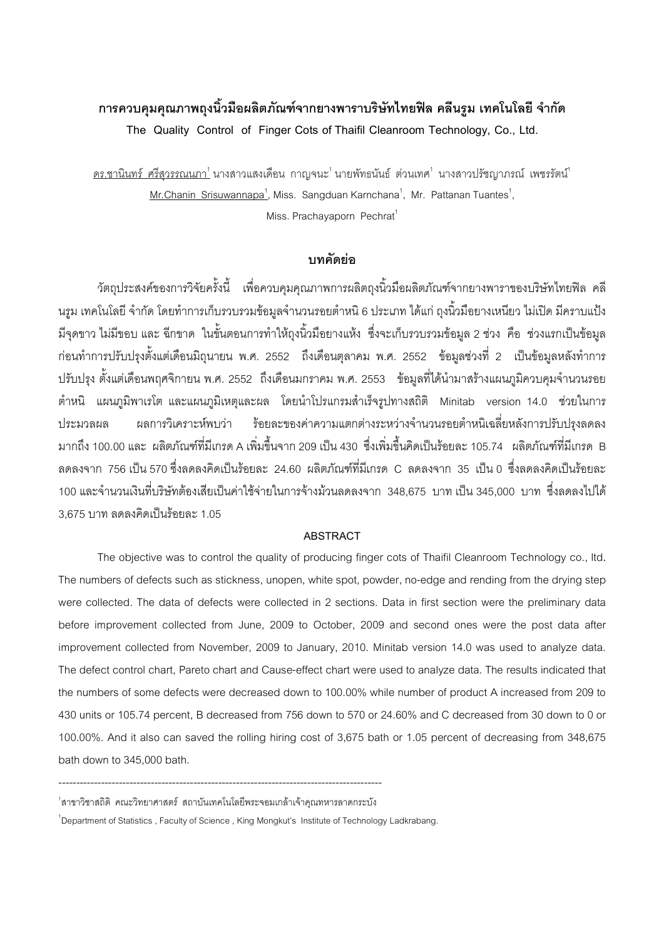# การควบคุมคุณภาพถุงนิ้วมือผลิตภัณฑ์จากยางพาราบริษัทไทยฟิล คลีนรูม เทคโนโลยี จำกัด **The Quality Control of Finger Cots of Thaifil Cleanroom Technology, Co., Ltd.**

<u>ดร.ชานินทร์ ศรีสุวรรณนภา<sup>1</sup> นางสาวแสงเดือน กาญจนะ<sup>1</sup> นายพัทธนันธ์ ต่วนเทศ<sup>1</sup> นางสาวปรัชญาภรณ์ เพชรรัตน์<sup>1</sup></u>  $M$ r.Chanin Srisuwannapa<sup>1</sup>, Miss. Sangduan Karnchana<sup>1</sup>, Mr. Pattanan Tuantes<sup>1</sup>, Miss. Prachayaporn Pechrat<sup>1</sup>

#### **งเทคัดย่อ**

วัตถุประสงค์ของการวิจัยครั้งนี้ เพื่อควบคุมคุณภาพการผลิตถุงนิ้วมือผลิตภัณฑ์จากยางพาราของบริษัทไทยฟิล คลี นรูม เทคโนโลยี จำกัด โดยทำการเก็บรวบรวมข้อมูลจำนวนรอยตำหนิ 6 ประเภท ได้แก่ ถุงนิ้วมือยางเหนียว ไม่เปิด มีคราบแป้ง มีจุดขาว ไม่มีขอบ และ ฉีกขาด ในขั้นตอนการทำให้ถุงนิ้วมือยางแห้ง ซึ่งจะเก็บรวบรวมข้อมูล 2 ช่วง คือ ช่วงแรกเป็นข้อมูล ก่อนทำการปรับปรุงตั้งแต่เดือนมิถุนายน พ.ศ. 2552 ถึงเดือนตุลาคม พ.ศ. 2552 ข้อมูลช่วงที่ 2 เป็นข้อมูลหลังทำการ ปรับปรุง ตั้งแต่เดือนพฤศจิกายน พ.ศ. 2552 ถึงเดือนมกราคม พ.ศ. 2553 ข้อมูลที่ได้นำมาสร้างแผนภูมิควบคุมจำนวนรอย ตำหนิ แผนภูมิพาเรโต และแผนภูมิเหตุและผล โดยนำโปรแกรมสำเร็จรูปทางสถิติ Minitab version 14.0 ช่วยในการ าไระมวลผล ผลการวิเคราะห์พบว่า ์พบว่า ร้อยละของค่าความแตกต่างระหว่างจำนวนรอยตำหนิเฉลี่ยหลังการปรับปรุงลดลง มากถึง 100.00 และ ผลิตภัณฑ์ที่มีเกรด A เพิ่มขึ้นจาก 209 เป็น 430 ซึ่งเพิ่มขึ้นคิดเป็นร้อยละ 105.74 ผลิตภัณฑ์ที่มีเกรด B ลดลงจาก 756 เป็น 570 ซึ่งลดลงคิดเป็นร้อยละ 24.60 ผลิตภัณฑ์ที่มีเกรด C ลดลงจาก 35 เป็น 0 ซึ่งลดลงคิดเป็นร้อยละ 100 และจำนวนเงินที่บริษัทต้องเสียเป็นค่าใช้จ่ายในการจ้างม้วนลดลงจาก 348,675 บาท เป็น 345,000 บาท ซึ่งลดลงไปได้  $\overline{\phantom{a}}$ 3,675 บาท ลดลงคิดเป็นร้อยละ 1.05

#### **ABSTRACT**

The objective was to control the quality of producing finger cots of Thaifil Cleanroom Technology co., ltd**.** The numbers of defects such as stickness, unopen, white spot, powder, no-edge and rending from the drying step were collected. The data of defects were collected in 2 sections. Data in first section were the preliminary data before improvement collected from June, 2009 to October, 2009 and second ones were the post data after improvement collected from November, 2009 to January, 2010. Minitab version 14.0 was used to analyze data. The defect control chart, Pareto chart and Cause-effect chart were used to analyze data. The results indicated that the numbers of some defects were decreased down to 100.00% while number of product A increased from 209 to 430 units or 105.74 percent, B decreased from 756 down to 570 or 24.60% and C decreased from 30 down to 0 or 100.00%. And it also can saved the rolling hiring cost of 3,675 bath or 1.05 percent of decreasing from 348,675 bath down to 345,000 bath.

<sup>-------------------------------------------------------------------------------------------</sup>  <sup>1</sup>สาขาวิชาสถิติ คณะวิทยาศาสตร์ สถาบันเทคโนโลยีพระจอมเกล้าเจ้าคุณทหารลาดกระบัง

<sup>&</sup>lt;sup>1</sup>Department of Statistics, Faculty of Science, King Mongkut's Institute of Technology Ladkrabang.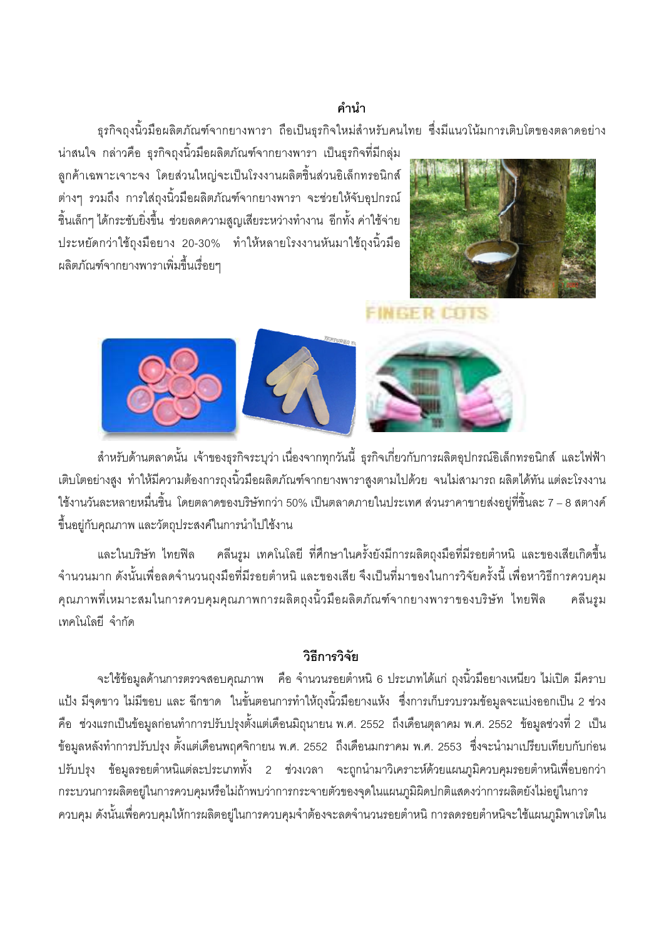### คำบำ

ิธรกิจถงนิ้วมือผลิตภัณฑ์จากยางพารา ถือเป็นธรกิจใหม่สำหรับคนไทย ซึ่งมีแนวโน้มการเติบโตของตลาดอย่าง

้น่าสนใจ กล่าวคือ ธรกิจถงนิ้วมือผลิตภัณฑ์จากยางพารา เป็นธรกิจที่มีกล่ม ้ลูกค้าเฉพาะเจาะจง โดยส่วนใหญ่จะเป็นโรงงานผลิตชิ้นส่วนอิเล็กทรอนิกส์ ต่างๆ รวมถึง การใส่ถุงนิ้วมือผลิตภัณฑ์จากยางพารา จะช่วยให้จับอุปกรณ์ ์ ชิ้นเล็กๆ ได้กระชับยิ่งขึ้น ช่วยลดความสูญเสียระหว่างทำงาน อีกทั้ง ค่าใช้จ่าย ประหยัดกว่าใช้ถงมือยาง 20-30% ทำให้หลายโรงงานหันมาใช้ถงนิ้วมือ ผลิตภัณฑ์จากยางพาราเพิ่มขึ้นเรื่อยๆ



# **FINGER COTS**



สำหรับด้านตลาดนั้น เจ้าของธุรกิจระบุว่า เนื่องจากทุกวันนี้ ธุรกิจเกี่ยวกับการผลิตอุปกรณ์อิเล็กทรอนิกส์ และไฟฟ้า ้เติบโตอย่างสูง ทำให้มีความต้องการถุงนิ้วมือผลิตภัณฑ์จากยางพาราสูงตามไปด้วย จนไม่สามารถ ผลิตได้ทัน แต่ละโรงงาน ใช้งานวันละหลายหมื่นขึ้น โดยตลาดของบริษัทกว่า 50% เป็นตลาดภายในประเทศ ส่วนราคาขายส่งอยู่ที่ชิ้นละ 7 – 8 สตางค์ ์ ขึ้นอยู่กับคุณภาพ และวัตถุประสงค์ในการนำไปใช้งาน

้ คลีนรูม เทคโนโลยี ที่ศึกษาในครั้งยังมีการผลิตถุงมือที่มีรอยตำหนิ และของเสียเกิดขึ้น และในบริษัท ไทยฟิล ้จำนวนมาก ดังนั้นเพื่อลดจำนวนถุงมือที่มีรอยตำหนิ และของเสีย จึงเป็นที่มาของในการวิจัยครั้งนี้ เพื่อหาวิธีการควบคุม ้คุณภาพที่เหมาะสมในการควบคุมคุณภาพการผลิตถุงนิ้วมือผลิตภัณฑ์จากยางพาราของบริษัท ไทยฟิล คลีนรูม เทคโนโลยี จำกัด

## วิธีการวิจัย

จะใช้ข้อมูลด้านการตรวจสอบคุณภาพ คือ จำนวนรอยตำหนิ 6 ประเภทได้แก่ ถุงนิ้วมือยางเหนียว ไม่เปิด มีคราบ แป้ง มีจุดขาว ไม่มีขอบ และ ฉีกขาด ในขั้นตอนการทำให้ถุงนิ้วมือยางแห้ง ซึ่งการเก็บรวบรวมข้อมูลจะแบ่งออกเป็น 2 ช่วง ี คือ ช่วงแรกเป็นข้อมูลก่อนทำการปรับปรุงตั้งแต่เดือนมิถุนายน พ.ศ. 2552 ถึงเดือนตุลาคม พ.ศ. 2552 ข้อมูลช่วงที่ 2 เป็น ์ ข้อมูลหลังทำการปรับปรุง ตั้งแต่เดือนพฤศจิกายน พ.ศ. 2552 ถึงเดือนมกราคม พ.ศ. 2553 ซึ่งจะนำมาเปรียบเทียบกับก่อน ี ปรับปรุง ข้อมูลรอยตำหนิแต่ละประเภททั้ง 2 ช่วงเวลา จะถูกนำมาวิเคราะห์ด้วยแผนภูมิควบคุมรอยตำหนิเพื่อบอกว่า ้ กระบวนการผลิตอยู่ในการควบคุมหรือไม่ถ้าพบว่าการกระจายตัวของจุดในแผนภูมิผิดปกติแสดงว่าการผลิตยังไม่อยู่ในการ ้ ควบคุม ดังนั้นเพื่อควบคุมให้การผลิตอยู่ในการควบคุมจำต้องจะลดจำนวนรอยตำหนิ การลดรอยตำหนิจะใช้แผนภูมิพาเรโตใน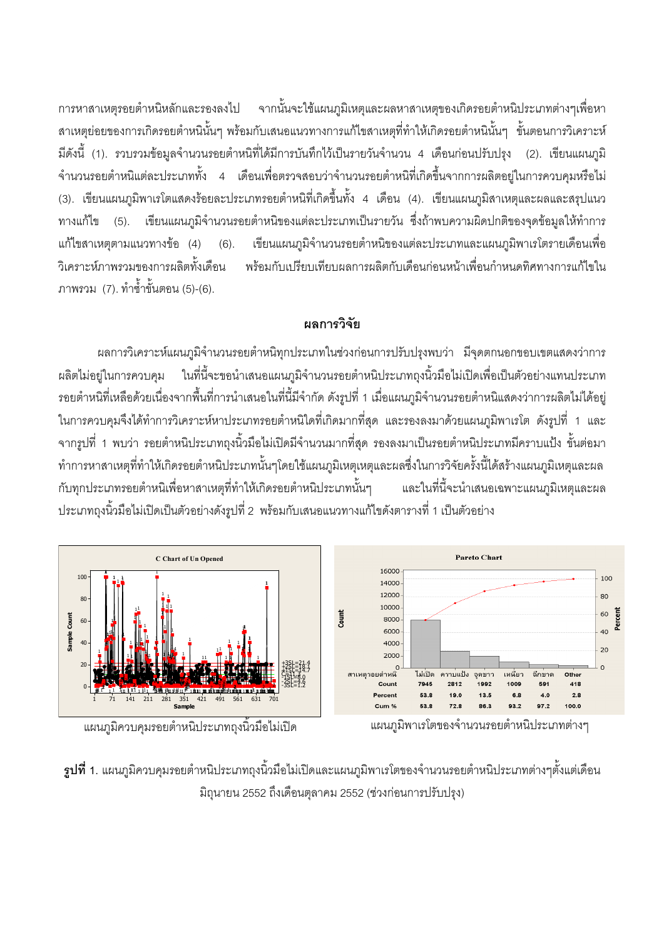การหาสาเหตุรอยตำหนิหลักและรองลงไป จากนั้นจะใช้แผนภูมิเหตุและผลหาสาเหตุของเกิดรอยตำหนิประเภทต่างๆเพื่อหา สาเหตุย่อยของการเกิดรอยตำหนินั้นๆ พร้อมกับเสนอแนวทางการแก้ไขสาเหตุที่ทำให้เกิดรอยตำหนินั้นๆ ขั้นตอนการวิเคราะห์ มีดังนี้ (1). รวบรวมข้อมูลจำนวนรอยตำหนิที่ได้มีการบันทึกไว้เป็นรายวันจำนวน 4 เดือนก่อนปรับปรุง (2). เขียนแผนภูมิ จำนวนรอยตำหนิแต่ละประเภททั้ง 4 เดือนเพื่อตรวจสอบว่าจำนวนรอยตำหนิที่เกิดขึ้นจากการผลิตอยู่ในการควบคุมหรือไม่ (3). เขียนแผนภูมิพาเรโตแสดงร้อยละประเภทรอยตำหนิที่เกิดขึ้นทั้ง 4 เดือน (4). เขียนแผนภูมิสาเหตุและผลและสรุปแนว ทางแก้ไข (5). เขียนแผนภูมิจำนวนรอยตำหนิของแต่ละประเภทเป็นรายวัน ซึ่งถ้าพบความผิดปกติของจุดข้อมูลให้ทำการ แก้ไขสาเหตุตามแนวทางข้อ (4) (6). เขียนแผนภูมิจำนวนรอยตำหนิของแต่ละประเภทและแผนภูมิพาเรโตรายเดือนเพื่อ วิเคราะห์ภาพรวมของการผลิตทั้งเดื อน พร้อมกับเปรียบเทียบผลการผลิตกับเดือนก่อนหน้าเพื่อนกำหนดทิศทางการแก้ไขใน ภาพรวม (7). ทำซ้ำขั้นตอน (5)-(6).

# ผลการวิจัย

ผลการวิเคราะห์แผนภูมิจำนวนรอยตำหนิทุกประเภทในช่วงก่อนการปรับปรุงพบว่า มีจุดตกนอกขอบเขตแสดงว่าการ ผลิตไม่อยู่ในการควบคุม ในที่นี้จะขอนำเสนอแผนภูมิจำนวนรอยตำหนิประเภทถุงนิ้วมือไม่เปิดเพื่อเป็นตัวอย่างแทนประเภท รอยตำหนิที่เหลือด้วยเนื่องจากพื้นที่การนำเสนอในที่นี้มีจำกัด ดังรูปที่ 1 เมื่อแผนภูมิจำนวนรอยตำหนิแสดงว่าการผลิตไม่ได้อยู่ ในการควบคุมจึงได้ทำการวิเคราะห์หาประเภทรอยตำหนิใดที่เกิดมากที่สุด และรองลงมาด้วยแผนภูมิพาเรโต ดังรูปที่ 1 และ จากรูปที่ 1 พบว่า รอยตำหนิประเภทถุงนิ้วมือไม่เปิดมีจำนวนมากที่สุด รองลงมาเป็นรอยตำหนิประเภทมีคราบแป้ง ขั้นต่อมา ทำการหาสาเหตุที่ทำให้เกิดรอยตำหนิประเภทนั้นๆโดยใช้แผนภูมิเหตุเหตุและผลซึ่งในการวิจัยครั้งนี้ได้สร้างแผนภูมิเหตุและผล กับทุกประเภทรอยตำหนิเพื่อหาสาเหตุที่ทำให้เกิดรอยตำหนิประเภทนั้นๆ และในที่นี้จะนำเสนอเฉพาะแผนภมิเหตและผล ประเภทถุงนิ้วมือไม่เปิดเป็นตัวอย่างดังรูปที่ 2 พร้อมกับเสนอแนวทางแก้ไขดังตารางที่ 1 เป็นตัวอย่าง



แผนภมิพาเรโตของจำนวนรอยตำหนิประเภทต่างๆ

แผนภมิควบคมรอยตำหนิประเภทถงนิ้วมือไม่เปิด

 $\,$ รูปที่ 1. แผนภูมิควบคุมรอยตำหนิประเภทถุงนิ้วมือไม่เปิดและแผนภูมิพาเรโตของจำนวนรอยตำหนิประเภทต่างๆตั้งแต่เดือน มิถุนายน 2552 ถึงเดือนตุลาคม 2552 (ช่วงก่อนการปรับปรุง)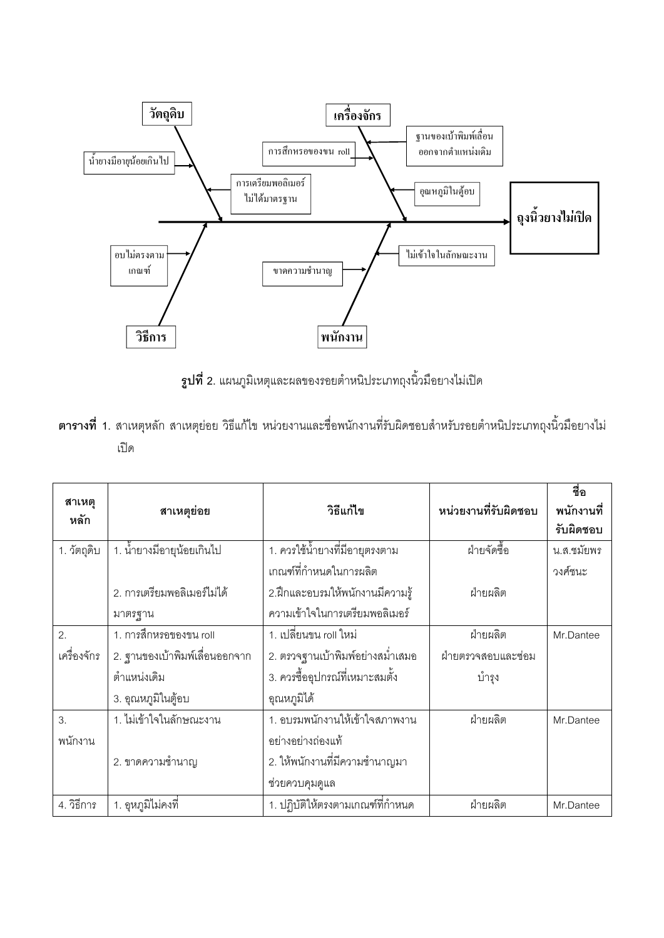

**รูปที่ 2**. แผนภูมิเหตุและผลของรอยตำหนิประเภทถุงนิ้วมือยางไม่เปิด

|  | <b>์ตารางที่ 1</b> . สาเหตุหลัก สาเหตุย่อย วิธีแก้ไข หน่วยงานและชื่อพนักงานที่รับผิดชอบสำหรับรอยตำหนิประเภทถงนิ้วมือยางไม่ |  |  |  |  |  |  |
|--|----------------------------------------------------------------------------------------------------------------------------|--|--|--|--|--|--|
|  |                                                                                                                            |  |  |  |  |  |  |

|                |                                |                                  |                      | ชื่อ       |
|----------------|--------------------------------|----------------------------------|----------------------|------------|
| สาเหตุ<br>หลัก | สาเหตุย่อย                     | วิธีแก้ไข                        | หน่วยงานที่รับผิดชอบ | พนักงานที่ |
|                |                                |                                  |                      | รับผิดชอบ  |
| 1. วัตถุดิบ    | 1. น้ำยางมีอายุน้อยเกินไป      | 1. ควรใช้น้ำยางที่มีอายุตรงตาม   | ฝ่ายจัดซื้อ          | น.ส.ชมัยพร |
|                |                                | เกณฑ์ที่กำหนดในการผลิต           |                      | วงศ์ชนะ    |
|                | 2. การเตรียมพอลิเมอร์ไม่ได้    | 2.ฝึกและอบรมให้พนักงานมีความรู้  | ฝ่ายผลิต             |            |
|                | มาตรฐาน                        | ความเข้าใจในการเตรียมพอลิเมอร์   |                      |            |
| 2.             | 1. การสึกหรอของขน roll         | 1. เปลี่ยนขน roll ใหม่           | ฝ่ายผลิต             | Mr.Dantee  |
| เครื่องจักร    | 2. ฐานของเบ้าพิมพ์เลื่อนออกจาก | 2. ตรวจฐานเบ้าพิมพ์อย่างสม่ำเสมอ | ฝ่ายตรวจสอบและซ่อม   |            |
|                | ตำแหน่งเดิม                    | 3. ควรซื้ออุปกรณ์ที่เหมาะสมตั้ง  | บำรุง                |            |
|                | 3. อุณหภูมิในตู้อบ             | ้อุณหภูมิได้                     |                      |            |
| 3.             | 1. ไม่เข้าใจในลักษณะงาน        | 1. อบรมพนักงานให้เข้าใจสภาพงาน   | ฝ่ายผลิต             | Mr.Dantee  |
| พนักงาน        |                                | อย่างอย่างถ่องแท้                |                      |            |
|                | 2. ขาดความช้ำนาญ               | 2. ให้พนักงานที่มีความชำนาญมา    |                      |            |
|                |                                | ช่วยควบคุมดูแล                   |                      |            |
| 4. วิธีการ     | 1. อุหภูมิไม่คงที่             | 1. ปฏิบัติให้ตรงตามเกณฑ์ที่กำหนด | ฝ่ายผลิต             | Mr.Dantee  |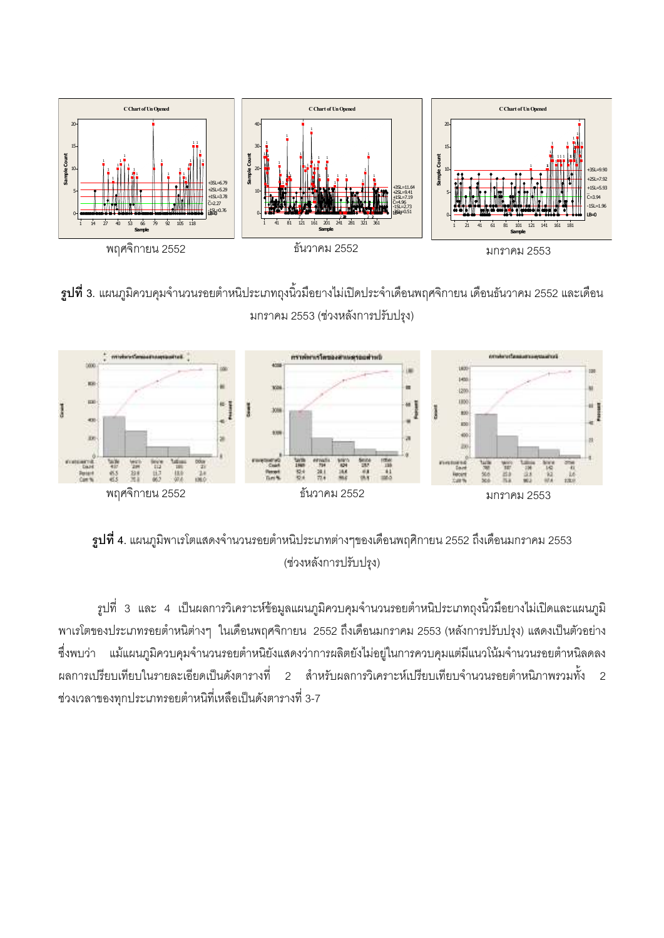

 $\boldsymbol{\mathfrak{g}}$ ป**ที่ 3**. แผนภูมิควบคุมจำนวนรอยตำหนิประเภทถุงนิ้วมือยางไม่เปิดประจำเดือนพฤศจิกายน เดือนธันวาคม 2552 และเดือน มกราคม 2553 (ช่วงหลังการปรับปรุง)



 $\,$ รูปที่ 4. แผนภูมิพาเรโตแสดงจำนวนรอยตำหนิประเภทต่างๆของเดือนพฤศิกายน 2552 ถึงเดือนมกราคม 2553 (ช่วงหลังการปรับปรุง)

รูปที่ 3 และ 4 เป็นผลการวิเคราะห์ข้อมูลแผนภูมิควบคุมจำนวนรอยตำหนิประเภทถุงนิ้วมือยางไม่เปิดและแผนภูมิ พาเรโตของประเภทรอยตำหนิต่างๆ ในเดือนพฤศจิกายน 2552 ถึงเดือนมกราคม 2553 (หลังการปรับปรุง) แสดงเป็นตัวอย่าง ซึ่งพบว่า แม้แผนภูมิควบคุมจำนวนรอยตำหนิยังแสดงว่าการผลิตยังไม่อยู่ในการควบคุมแต่มีแนวโน้มจำนวนรอยตำหนิลดลง ผลการเปรียบเทียบในรายละเอียดเป็นดังตารางที่ 2 สำหรับผลการวิเคราะห์เปรียบเทียบจำนวนรอยตำหนิภาพรวมทั้ง 2 ช่วงเวลาของทุกประเภทรอยตำหนิที่เหลือเป็นดังตารางที่ 3-7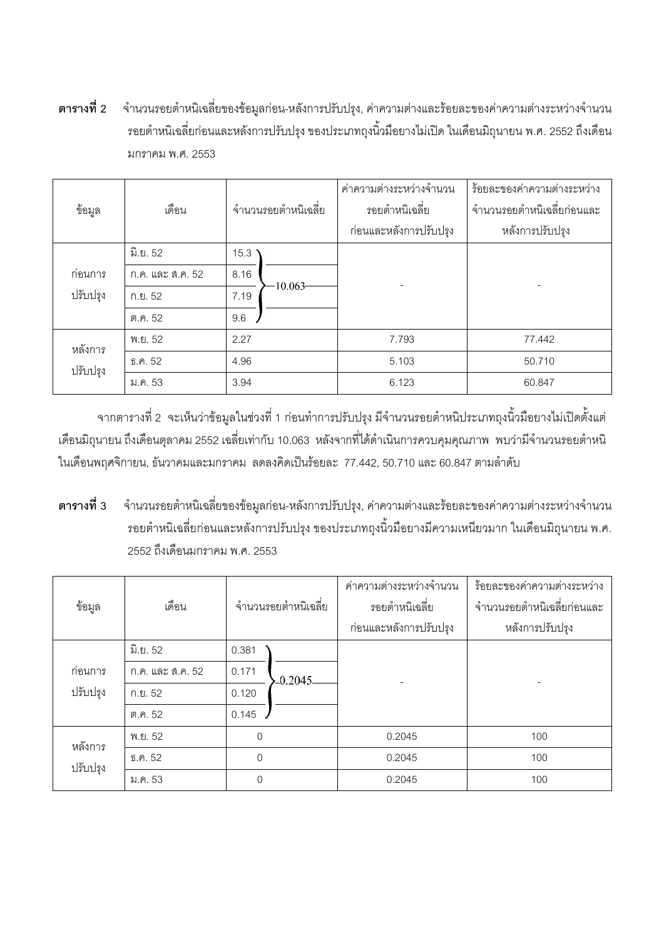์ตารา ี จำนวนร<sub>ั</sub>อยตำหนิเฉลี่ยของข้อมูลก่อน-หลังการปรับปรุง, ค่าความต่างและร้อยละของค่าความต่างระหว่างจำนวน รอยตำหนิเฉลี่ยก่อนและหลังการปรับปรุง ของประเภทถุงนิ้วมือยางไม่เปิด ในเดือนมิถุนายน พ.ศ. 2552 ถึงเดือน มกราคม พ.ศ. 2553

| ข้อมูล   | เดือน             | จำนวนรอยตำหนิเฉลี่ย | ค่าความต่างระหว่างจำนวน<br>รอยตำหนิเฉลี่ย | ร้อยละของค่าความต่างระหว่าง<br>จำนวนรอยตำหนิเฉลี่ยก่อนและ<br>หลังการปรับปรุง |  |
|----------|-------------------|---------------------|-------------------------------------------|------------------------------------------------------------------------------|--|
|          |                   |                     | ก่อนและหลังการปรับปรุง                    |                                                                              |  |
|          | มิ.ย. 52          | $15.3$ \            |                                           |                                                                              |  |
| ก่อนการ  | ึก.ค. และ ส.ค. 52 | 8.16                |                                           |                                                                              |  |
| ปรับปรุง | ก.ย. 52           | $-10.063$<br>7.19   |                                           |                                                                              |  |
|          | ต.ค. 52           | 9.6                 |                                           |                                                                              |  |
| หลังการ  | พ.ย. 52           | 2.27                | 7.793                                     | 77.442                                                                       |  |
| ปรับปรุง | ธิ.ค. 52          | 4.96                | 5.103                                     | 50.710                                                                       |  |
|          | ม.ค. 53           | 3.94                | 6.123                                     | 60.847                                                                       |  |

จากตารางที่ 2 จะเห็นว่าข้อมูลในช่วงที่ 1 ก่อนทำการปรับปรุง มีจำนวนรอยตำหนิประเภทถุงนิ้วมือยางไม่เปิดตั้งแต่ เดือนมิถุนายน ถึงเดือนตุลาคม 2552 เฉลี่ยเท่ากับ 10.063 หลังจากที่ได้ดำเนินการควบคุมคุณภาพ พบว่ามีจำนวนรอยตำหนิ ในเดือนพฤศจิกายน, ธันวาคมและมกราคม ลดลงคิดเป็นร้อยละ 77.442, 50.710 และ 60.847 ตามลำดับ

**--**ี จำนวนร<sub>ั</sub>อยตำหนิเฉลี่ยของข้อมูลก่อน-หลังการปรับปรุง, ค่าความต่างและร้อยละของค่าความต่างระหว่างจำนวน รอยตำหนิเฉลี่ยก่อนและหลังการปรับปรุง ของประเภทถุงนิ้วมือยางมีความเหนียวมาก ในเดือนมิถุนายน พ.ศ. 2552 ถึงเดือนมกราคม พ.ศ. 2553

| ข้อมูล   | เดือน                     | จำนวนรอยตำหนิเฉลี่ย |           | ค่าความต่างระหว่างจำนวน<br>รอยตำหนิเฉลี่ย<br>ก่อนและหลังการปรับปรุง | ร้อยละของค่าความต่างระหว่าง<br>จำนวนรอยตำหนิเฉลี่ยก่อนและ<br>หลังการปรับปรุง |  |  |
|----------|---------------------------|---------------------|-----------|---------------------------------------------------------------------|------------------------------------------------------------------------------|--|--|
|          | <u>มิ.ย. 52</u>           | 0.381               |           |                                                                     |                                                                              |  |  |
| ก่อนการ  | ก.ค. และ ส.ค. 52          | 0.171               | $-0.2045$ |                                                                     |                                                                              |  |  |
| ปรับปรุง | ก.ย. 52                   | 0.120               |           |                                                                     |                                                                              |  |  |
|          | ต.ค. 52                   | 0.145               |           |                                                                     |                                                                              |  |  |
| หลังการ  | $\overline{0}$<br>พ.ย. 52 |                     |           | 0.2045                                                              | 100                                                                          |  |  |
| ปรับปรุง | f.0.52                    | $\overline{0}$      |           | 0.2045                                                              | 100                                                                          |  |  |
|          | ม.ค. 53                   | $\Omega$            |           | 0.2045                                                              | 100                                                                          |  |  |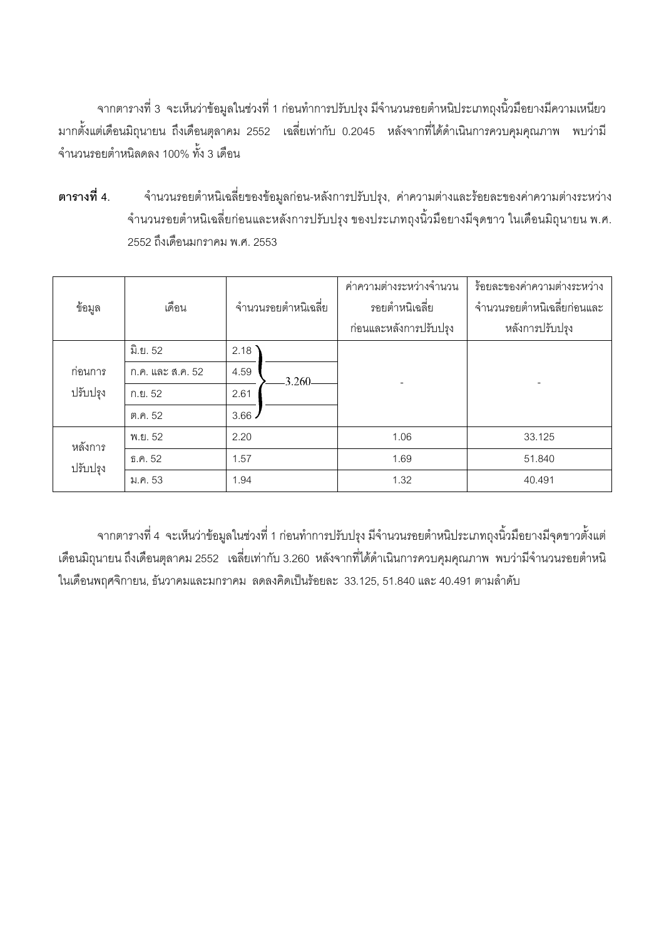จากตารางที่ 3 จะเห็นว่าข้อมูลในช่วงที่ 1 ก่อนทำการปรับปรุง มีจำนวนรอยตำหนิประเภทถุงนิ้วมือยางมีความเหนียว มากตั้งแต่เดือนมิถุนายน ถึงเดือนตุลาคม 2552 เฉลี่ยเท่ากับ 0.2045 หลังจากที่ได้ดำเนินการควบคุมคุณภาพ พบว่ามี จำนวนรอยตำหนิลดลง 100% ทั้ง 3 เดือน

**--**ี จำนวนร<sub>ั</sub>อยตำหนิเฉลี่ยของข้อมูลก่อน-หลังการปรับปรุง, ค่าความต่างและร้อยละของค่าความต่างระหว่าง จำนวนรอยตำหนิเฉลี่ยก่อนและหลังการปรับปรุง ของประเภทถุงนิ้วมือยางมีจุดขาว ในเดือนมิถุนายน พ.ศ. 2552 ถึงเดือนมกราคม พ.ศ. 2553

| ข้อมูล   | จำนวนรอยตำหนิเฉลี่ย<br>เดือน |               | ค่าความต่างระหว่างจำนวน<br>รอยตำหนิเฉลี่ย<br>ก่อนและหลังการปรับปรุง | ร้อยละของค่าความต่างระหว่าง<br>จำนวนรอยตำหนิเฉลี่ยก่อนและ<br>หลังการปรับปรุง |  |
|----------|------------------------------|---------------|---------------------------------------------------------------------|------------------------------------------------------------------------------|--|
|          | ู้มิ.ย. 52                   | 2.18          |                                                                     |                                                                              |  |
| ก่อนการ  | ก.ค. และ ส.ค. 52             | 4.59<br>3.260 |                                                                     |                                                                              |  |
| ปรับปรุง | ก.ย. 52                      | 2.61          |                                                                     |                                                                              |  |
|          | ต.ค. 52                      | 3.66          |                                                                     |                                                                              |  |
| หลังการ  | พ.ย. 52                      | 2.20          | 1.06                                                                | 33.125                                                                       |  |
| ปรับปรุง | ธิ.ค. 52                     | 1.57          | 1.69                                                                | 51.840                                                                       |  |
|          | ม.ค. 53                      | 1.94          | 1.32                                                                | 40.491                                                                       |  |

จากตารางที่ 4 จะเห็นว่าข้อมูลในช่วงที่ 1 ก่อนทำการปรับปรุง มีจำนวนรอยตำหนิประเภทถุงนิ้วมือยางมีจุดขาวตั้งแต่ เดือนมิถุนายน ถึงเดือนตุลาคม 2552 เฉลี่ยเท่ากับ 3.260 หลังจากที่ได้ดำเนินการควบคุมคุณภาพ พบว่ามีจำนวนรอยตำหนิ ในเดือนพฤศจิกายน, ธันวาคมและมกราคม ลดลงคิดเป็นร้อยละ 33.125, 51.840 และ 40.491 ตามลำดับ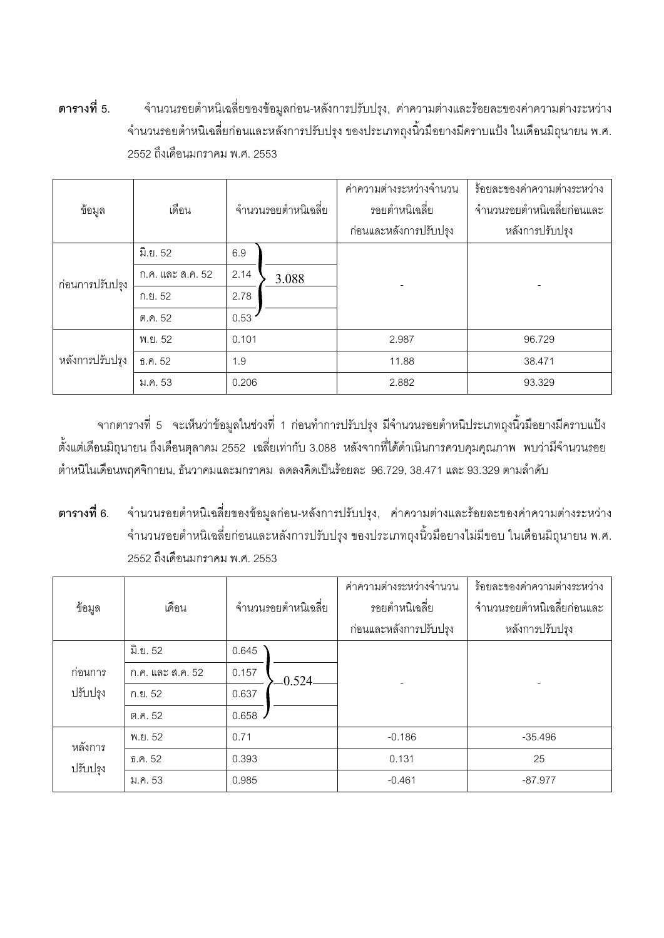์ตารา ี จำนวนรอยตำหนิเฉลี่ยของข้อมูลก่อน-หลังการปรับปรุง, ค่าความต่างและร้อยละของค่าความต่างระหว่าง จำนวนรอยตำหนิเฉลี่ยก่อนและหลังการปรับปรุง ของประเภทถุงนิ้วมือยางมีคราบแป้ง ในเดือนมิถุนายน พ.ศ. 2552 ถึงเดือนมกราคม พ.ศ. 2553

| ข้อมูล          | เดือน<br>จำนวนรอยตำหนิเฉลี่ย |                       | ค่าความต่างระหว่างจำนวน<br>รอยตำหนิเฉลี่ย<br>ก่อนและหลังการปรับปรุง | ร้อยละของค่าความต่างระหว่าง<br>จำนวนรอยตำหนิเฉลี่ยก่อนและ<br>หลังการปรับปรุง |        |
|-----------------|------------------------------|-----------------------|---------------------------------------------------------------------|------------------------------------------------------------------------------|--------|
|                 |                              |                       |                                                                     |                                                                              |        |
|                 | ูมิ.ย. 52                    | 6.9                   |                                                                     |                                                                              |        |
| ก่อนการปรับปรุง | ก.ค. และ ส.ค. 52             | 2.14                  | 3.088                                                               |                                                                              |        |
|                 | ก.ย. 52                      | 2.78                  |                                                                     |                                                                              |        |
|                 | ต.ค. 52                      | 0.53                  |                                                                     |                                                                              |        |
|                 | พ.ย. 52                      | 0.101<br>1.9<br>0.206 |                                                                     | 2.987                                                                        | 96.729 |
| หลังการปรับปรุง | ธิ.ค. 52                     |                       |                                                                     | 11.88                                                                        | 38.471 |
|                 | ม.ค. 53                      |                       |                                                                     | 2.882                                                                        | 93.329 |

จากตารางที่ 5 จะเห็นว่าข้อมูลในช่วงที่ 1 ก่อนทำการปรับปรุง มีจำนวนรอยตำหนิประเภทถุงนิ้วมือยางมีคราบแป้ง ตั้งแต่เดือนมิถุนายน ถึงเดือนตุลาคม 2552 เฉลี่ยเท่ากับ 3.088 หลังจากที่ได้ดำเนินการควบคุมคุณภาพ พบว่ามีจำนวนรอย ตำหนิในเดือนพฤศจิกายน, ธันวาคมและมกราคม ลดลงคิดเป็นร้อยละ 96.729, 38.471 และ 93.329 ตามลำดับ

**--**ี จำนวนรอยตำหนิเฉลี่ยของข้อมูลก่อน-หลังการปรับปรุง, ค่าความต่างและร้อยละของค่าความต่างระหว่าง จำนวนรอยตำหนิเฉลี่ยก่อนและหลังการปรับปรุง ของประเภทถุงนิ้วมือยางไม่มีขอบ ในเดือนมิถุนายน พ.ศ. 2552 ถึงเดือนมกราคม พ.ศ. 2553

| ข้อมูล   | จำนวนรอยตำหนิเฉลี่ย<br>เดือน |               |          | ค่าความต่างระหว่างจำนวน<br>รอยตำหนิเฉลี่ย<br>ก่อนและหลังการปรับปรุง | ร้อยละของค่าความต่างระหว่าง<br>จำนวนรอยตำหนิเฉลี่ยก่อนและ<br>หลังการปรับปรุง |
|----------|------------------------------|---------------|----------|---------------------------------------------------------------------|------------------------------------------------------------------------------|
|          | <u>มิ.ย. 52</u>              | 0.645         |          |                                                                     |                                                                              |
| ก่อนการ  | ก.ค. และ ส.ค. 52             | 0.157         | 0.524    |                                                                     |                                                                              |
| ปรับปรุง | ก.ย. 52                      | 0.637         |          |                                                                     |                                                                              |
|          | ต.ค. 52                      | 0.658         |          |                                                                     |                                                                              |
| หลังการ  | พ.ย. 52                      | 0.71<br>0.393 |          | $-0.186$                                                            | $-35.496$                                                                    |
| ปรับปรุง | f.0.52                       |               |          | 0.131                                                               | 25                                                                           |
|          | 0.985<br>ม.ค. 53             |               | $-0.461$ | $-87.977$                                                           |                                                                              |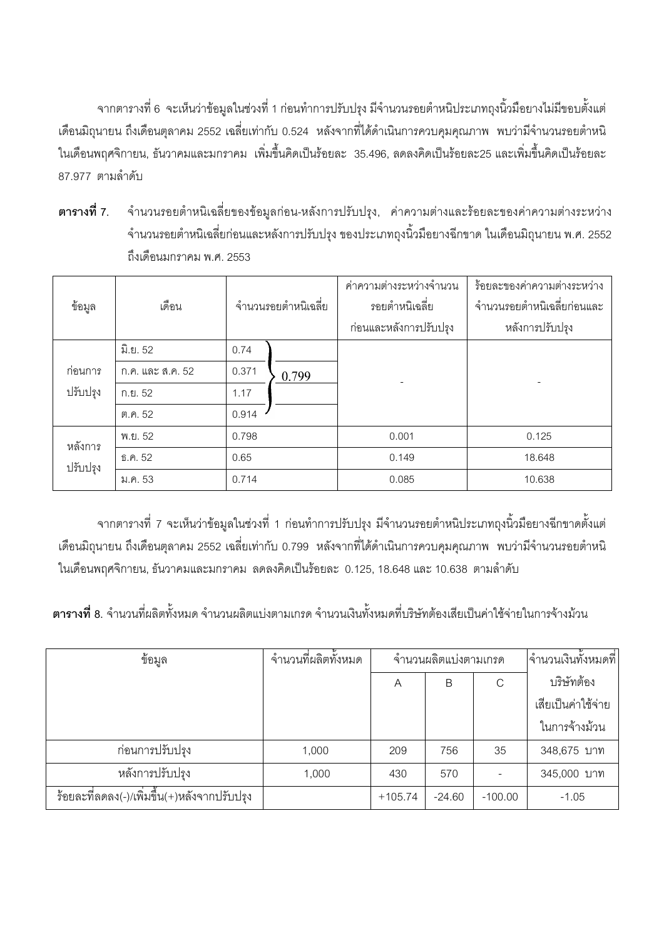ิ จากตารางที่ 6 จะเห็นว่าข้อมูลในช่วงที่ 1 ก่อนทำการปรับปรุง มีจำนวนรอยตำหนิประเภทถุงนิ้วมือยางไม่มีขอบตั้งแต่ เดือนมิถุนายน ถึงเดือนตุลาคม 2552 เฉลี่ยเท่ากับ 0.524 หลังจากที่ได้ดำเนินการควบคุมคุณภาพ พบว่ามีจำนวนรอยตำหนิ ในเดือนพฤศจิกายน, ธันวาคมและมกราคม เพิ่มขึ้นคิดเป็นร้อยละ 35.496, ลดลงคิดเป็นร้อยละ25 และเพิ่มขึ้นคิดเป็นร้อยละ 87.977 ตามลำดับ

์ตารา ี จำนวนร<sub>ู</sub>อยตำหนิเฉลี่ยของข้อมูลก่อน-หลังการปรับปรุง, ค่าความต่างและร้อยละของค่าความต่างระหว่าง จำนวนรอยตำหนิเฉลี่ยก่อนและหลังการปรับปรุง ของประเภทถุงนิ้วมือยางฉีกขาด ในเดือนมิถุนายน พ.ศ. 2552 ถึงเดือนมกราคม พ.ศ. 2553

| ข้อมูล   | เดือน<br>จำนวนรอยตำหนิเฉลี่ย |                        | ค่าความต่างระหว่างจำนวน<br>รอยตำหนิเฉลี่ย<br>ก่อนและหลังการปรับปรุง | ร้อยละของค่าความต่างระหว่าง<br>จำนวนรอยตำหนิเฉลี่ยก่อนและ<br>หลังการปรับปรุง |        |  |
|----------|------------------------------|------------------------|---------------------------------------------------------------------|------------------------------------------------------------------------------|--------|--|
|          | ูมิ.ย. 52                    | 0.74                   |                                                                     |                                                                              |        |  |
| ก่อนการ  | ก.ค. และ ส.ค. 52             | 0.371                  | 0.799                                                               |                                                                              |        |  |
| ปรับปรุง | ก.ย. 52                      | 1.17                   |                                                                     |                                                                              |        |  |
|          | ต.ค. 52                      | 0.914                  |                                                                     |                                                                              |        |  |
| หลังการ  | พ.ย. 52                      | 0.798<br>0.65<br>0.714 |                                                                     | 0.001                                                                        | 0.125  |  |
| ปรับปรุง | ธิ.ค. 52                     |                        |                                                                     | 0.149                                                                        | 18.648 |  |
|          | ม.ค. 53                      |                        |                                                                     | 0.085                                                                        | 10.638 |  |

จากตารางที่ 7 จะเห็นว่าข้อมูลในช่วงที่ 1 ก่อนทำการปรับปรุง มีจำนวนรอยตำหนิประเภทถุงนิ้วมือยางฉีกขาดตั้งแต่ เดือนมิถุนายน ถึงเดือนตุลาคม 2552 เฉลี่ยเท่ากับ 0.799 หลังจากที่ได้ดำเนินการควบคุมคุณภาพ พบว่ามีจำนวนรอยตำหนิ ในเดือนพฤศจิกายน, ธันวาคมและมกราคม ลดลงคิดเป็นร้อยละ 0.125, 18.648 และ 10.638 ตามลำดับ

**ตารางที่ 8**. จำนวนที่ผลิตทั้งหมด จำนวนผลิตแบ่งตามเกรด จำนวนเงินทั้งหมดที่บริษัทต้องเสียเป็นค่าใช้จ่ายในการจ้างม้วน

| ข้อมูล                                       | จำนวนที่ผลิตทั้งหมด | จำนวนผลิตแบ่งตามเกรด |          |           | จำนวนเงินทั้งหมดที่ |
|----------------------------------------------|---------------------|----------------------|----------|-----------|---------------------|
|                                              |                     | A                    | Β        | C         | บริษัทต้อง          |
|                                              |                     |                      |          |           | เสียเป็นค่าใช้จ่าย  |
|                                              |                     |                      |          |           | ในการจ้างม้วน       |
| ก่อนการปรับปรุง                              | 1,000               | 209                  | 756      | 35        | 348,675 บาท         |
| หลังการปรับปรุง                              | 1,000               | 430                  | 570      |           | 345,000 บาท         |
| ร้อยละที่ลดลง(-)/เพิ่มขึ้น(+)หลังจากปรับปรุง |                     | $+105.74$            | $-24.60$ | $-100.00$ | $-1.05$             |